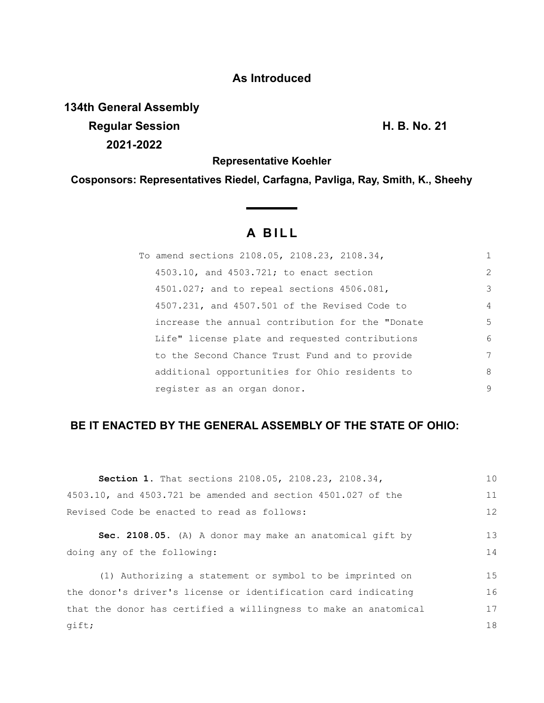## **As Introduced**

**134th General Assembly Regular Session H. B. No. 21 2021-2022**

**Representative Koehler**

**Cosponsors: Representatives Riedel, Carfagna, Pavliga, Ray, Smith, K., Sheehy**

# **A B I L L**

| To amend sections 2108.05, 2108.23, 2108.34,     | 1              |
|--------------------------------------------------|----------------|
| 4503.10, and 4503.721; to enact section          | $\overline{2}$ |
| $4501.027$ ; and to repeal sections $4506.081$ , | 3              |
| 4507.231, and 4507.501 of the Revised Code to    | 4              |
| increase the annual contribution for the "Donate | 5              |
| Life" license plate and requested contributions  | 6              |
| to the Second Chance Trust Fund and to provide   | 7              |
| additional opportunities for Ohio residents to   | 8              |
| register as an organ donor.                      | 9              |

## **BE IT ENACTED BY THE GENERAL ASSEMBLY OF THE STATE OF OHIO:**

| Section 1. That sections 2108.05, 2108.23, 2108.34,              | 10 |  |
|------------------------------------------------------------------|----|--|
| 4503.10, and 4503.721 be amended and section 4501.027 of the     |    |  |
| Revised Code be enacted to read as follows:                      |    |  |
| Sec. 2108.05. (A) A donor may make an anatomical gift by         | 13 |  |
| doing any of the following:                                      | 14 |  |
| (1) Authorizing a statement or symbol to be imprinted on         | 15 |  |
| the donor's driver's license or identification card indicating   | 16 |  |
| that the donor has certified a willingness to make an anatomical | 17 |  |
| qift;                                                            | 18 |  |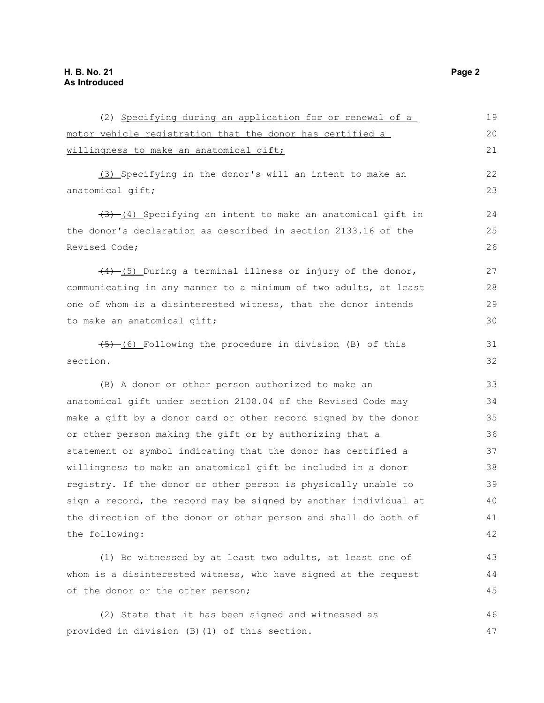| (2) Specifying during an application for or renewal of a         | 19 |
|------------------------------------------------------------------|----|
| motor vehicle registration that the donor has certified a        | 20 |
| willingness to make an anatomical gift;                          | 21 |
| (3) Specifying in the donor's will an intent to make an          | 22 |
| anatomical gift;                                                 | 23 |
| $(3)$ (4) Specifying an intent to make an anatomical gift in     | 24 |
| the donor's declaration as described in section 2133.16 of the   | 25 |
| Revised Code;                                                    | 26 |
| $(4)$ -(5) During a terminal illness or injury of the donor,     | 27 |
| communicating in any manner to a minimum of two adults, at least | 28 |
| one of whom is a disinterested witness, that the donor intends   | 29 |
| to make an anatomical gift;                                      | 30 |
| (5) (6) Following the procedure in division (B) of this          | 31 |
| section.                                                         | 32 |
| (B) A donor or other person authorized to make an                | 33 |
| anatomical gift under section 2108.04 of the Revised Code may    | 34 |
| make a gift by a donor card or other record signed by the donor  | 35 |
| or other person making the gift or by authorizing that a         | 36 |
| statement or symbol indicating that the donor has certified a    | 37 |
| willingness to make an anatomical gift be included in a donor    | 38 |
| registry. If the donor or other person is physically unable to   | 39 |
| sign a record, the record may be signed by another individual at | 40 |
| the direction of the donor or other person and shall do both of  | 41 |
| the following:                                                   | 42 |
| (1) Be witnessed by at least two adults, at least one of         | 43 |
| whom is a disinterested witness, who have signed at the request  | 44 |
| of the donor or the other person;                                | 45 |
| (2) State that it has been signed and witnessed as               | 46 |
| provided in division (B) (1) of this section.                    | 47 |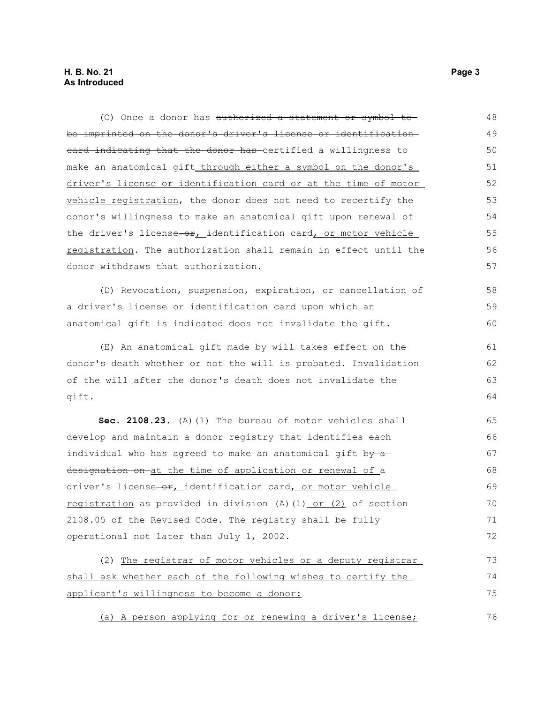### **H. B. No. 21 Page 3 As Introduced**

| (C) Once a donor has authorized a statement or symbol to           | 48 |
|--------------------------------------------------------------------|----|
| be imprinted on the donor's driver's license or identification-    | 49 |
| eard indicating that the donor has certified a willingness to      | 50 |
| make an anatomical gift through either a symbol on the donor's     | 51 |
| driver's license or identification card or at the time of motor    | 52 |
| vehicle registration, the donor does not need to recertify the     | 53 |
| donor's willingness to make an anatomical gift upon renewal of     | 54 |
| the driver's license-or, identification card, or motor vehicle     | 55 |
| registration. The authorization shall remain in effect until the   | 56 |
| donor withdraws that authorization.                                | 57 |
| (D) Revocation, suspension, expiration, or cancellation of         | 58 |
| a driver's license or identification card upon which an            | 59 |
| anatomical gift is indicated does not invalidate the gift.         | 60 |
| (E) An anatomical gift made by will takes effect on the            | 61 |
| donor's death whether or not the will is probated. Invalidation    | 62 |
| of the will after the donor's death does not invalidate the        | 63 |
| gift.                                                              | 64 |
| Sec. 2108.23. (A) (1) The bureau of motor vehicles shall           | 65 |
| develop and maintain a donor registry that identifies each         | 66 |
| individual who has agreed to make an anatomical gift by a-         | 67 |
| designation on at the time of application or renewal of a          | 68 |
| driver's license-or, identification card, or motor vehicle         | 69 |
| registration as provided in division (A) $(1)$ or $(2)$ of section | 70 |
| 2108.05 of the Revised Code. The registry shall be fully           | 71 |
| operational not later than July 1, 2002.                           | 72 |
| (2) The registrar of motor vehicles or a deputy registrar          | 73 |
| shall ask whether each of the following wishes to certify the      | 74 |
| applicant's willingness to become a donor:                         | 75 |
| (a) A person applying for or renewing a driver's license;          | 76 |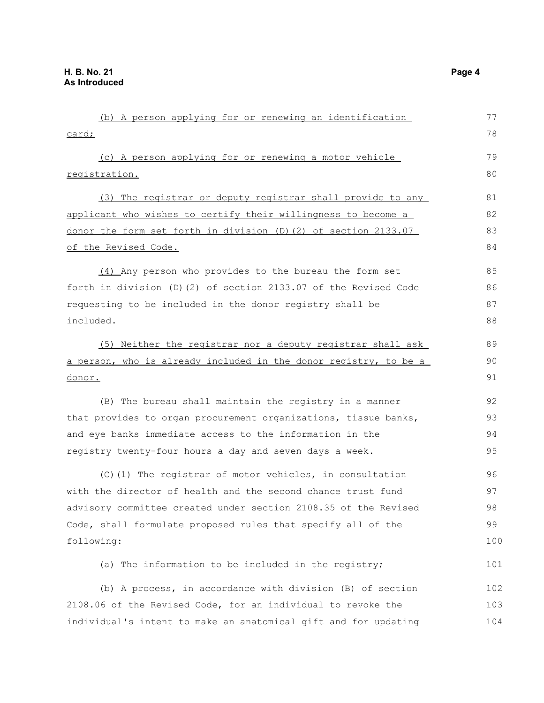| (b) A person applying for or renewing an identification          | 77  |
|------------------------------------------------------------------|-----|
| card;                                                            | 78  |
| (c) A person applying for or renewing a motor vehicle            | 79  |
| registration.                                                    | 80  |
| (3) The registrar or deputy registrar shall provide to any       | 81  |
| applicant who wishes to certify their willingness to become a    | 82  |
| donor the form set forth in division (D) (2) of section 2133.07  | 83  |
| of the Revised Code.                                             | 84  |
| (4) Any person who provides to the bureau the form set           | 85  |
| forth in division (D)(2) of section 2133.07 of the Revised Code  | 86  |
| requesting to be included in the donor registry shall be         | 87  |
| included.                                                        | 88  |
| (5) Neither the registrar nor a deputy registrar shall ask       | 89  |
| a person, who is already included in the donor registry, to be a | 90  |
| donor.                                                           | 91  |
| (B) The bureau shall maintain the registry in a manner           | 92  |
| that provides to organ procurement organizations, tissue banks,  | 93  |
| and eye banks immediate access to the information in the         | 94  |
| registry twenty-four hours a day and seven days a week.          | 95  |
| (C)(1) The registrar of motor vehicles, in consultation          | 96  |
| with the director of health and the second chance trust fund     | 97  |
| advisory committee created under section 2108.35 of the Revised  | 98  |
| Code, shall formulate proposed rules that specify all of the     | 99  |
| following:                                                       | 100 |
| (a) The information to be included in the registry;              | 101 |
| (b) A process, in accordance with division (B) of section        | 102 |
| 2108.06 of the Revised Code, for an individual to revoke the     | 103 |
| individual's intent to make an anatomical gift and for updating  | 104 |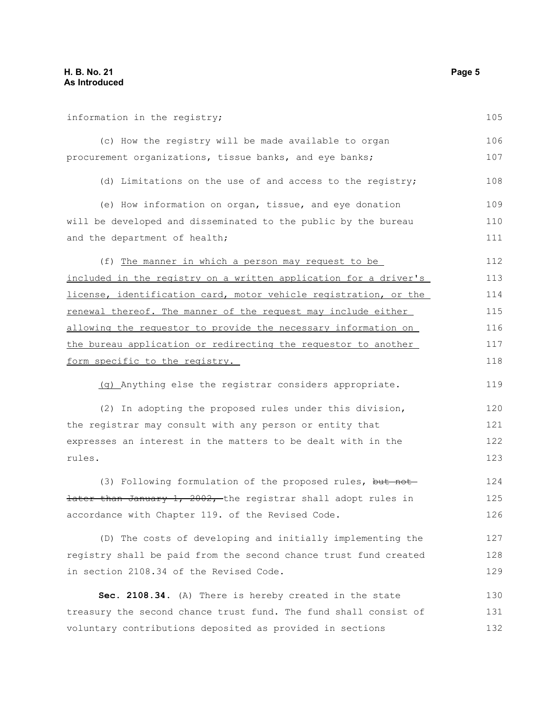information in the registry; (c) How the registry will be made available to organ procurement organizations, tissue banks, and eye banks; (d) Limitations on the use of and access to the registry; (e) How information on organ, tissue, and eye donation will be developed and disseminated to the public by the bureau and the department of health; (f) The manner in which a person may request to be included in the registry on a written application for a driver's license, identification card, motor vehicle registration, or the renewal thereof. The manner of the request may include either allowing the requestor to provide the necessary information on the bureau application or redirecting the requestor to another form specific to the registry. (g) Anything else the registrar considers appropriate. (2) In adopting the proposed rules under this division, the registrar may consult with any person or entity that expresses an interest in the matters to be dealt with in the rules. (3) Following formulation of the proposed rules, but notlater than January 1, 2002, the registrar shall adopt rules in accordance with Chapter 119. of the Revised Code. (D) The costs of developing and initially implementing the registry shall be paid from the second chance trust fund created in section 2108.34 of the Revised Code. **Sec. 2108.34.** (A) There is hereby created in the state treasury the second chance trust fund. The fund shall consist of voluntary contributions deposited as provided in sections 105 106 107 108 109 110 111 112 113 114 115 116 117 118 119 120 121 122 123 124 125 126 127 128 129 130 131 132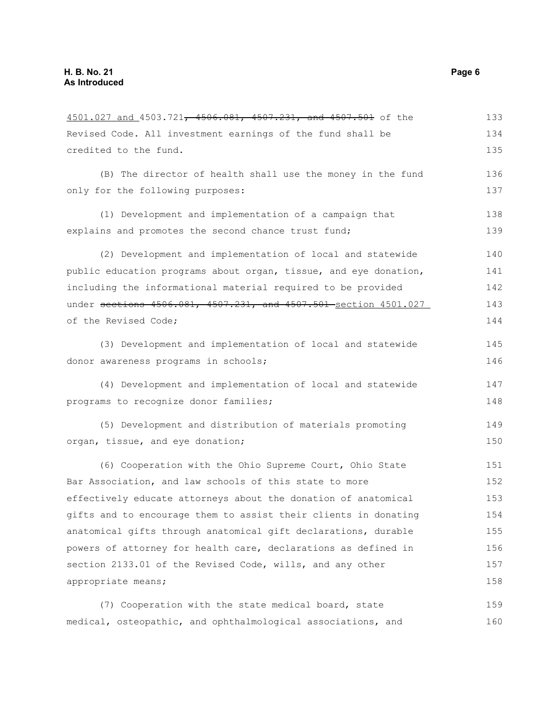| 4501.027 and 4503.721, 4506.081, 4507.231, and 4507.501 of the   | 133 |
|------------------------------------------------------------------|-----|
| Revised Code. All investment earnings of the fund shall be       | 134 |
| credited to the fund.                                            | 135 |
| (B) The director of health shall use the money in the fund       | 136 |
| only for the following purposes:                                 | 137 |
| (1) Development and implementation of a campaign that            | 138 |
| explains and promotes the second chance trust fund;              | 139 |
| (2) Development and implementation of local and statewide        | 140 |
| public education programs about organ, tissue, and eye donation, | 141 |
| including the informational material required to be provided     | 142 |
| under sections 4506.081, 4507.231, and 4507.501 section 4501.027 | 143 |
| of the Revised Code;                                             | 144 |
| (3) Development and implementation of local and statewide        | 145 |
| donor awareness programs in schools;                             | 146 |
| (4) Development and implementation of local and statewide        | 147 |
| programs to recognize donor families;                            | 148 |
| (5) Development and distribution of materials promoting          | 149 |
| organ, tissue, and eye donation;                                 | 150 |
| (6) Cooperation with the Ohio Supreme Court, Ohio State          | 151 |
| Bar Association, and law schools of this state to more           | 152 |
| effectively educate attorneys about the donation of anatomical   | 153 |
| gifts and to encourage them to assist their clients in donating  | 154 |
| anatomical gifts through anatomical gift declarations, durable   | 155 |
| powers of attorney for health care, declarations as defined in   | 156 |
| section 2133.01 of the Revised Code, wills, and any other        | 157 |
| appropriate means;                                               | 158 |
| (7) Cooperation with the state medical board, state              | 159 |
| medical, osteopathic, and ophthalmological associations, and     | 160 |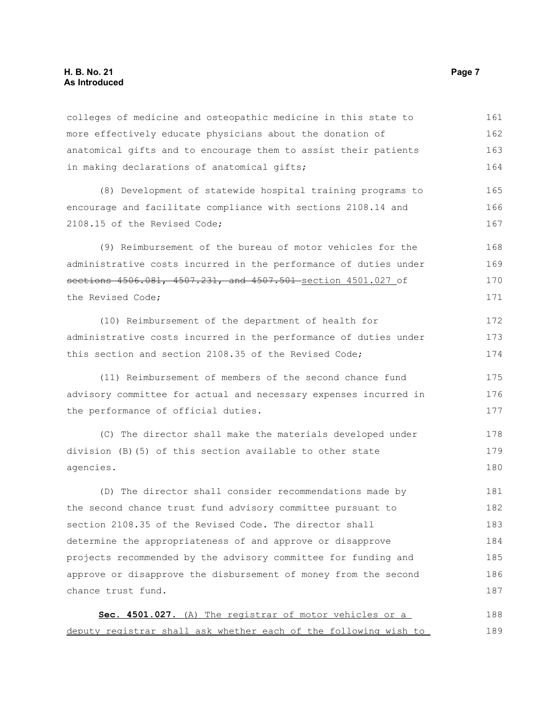#### **H. B. No. 21 Page 7 As Introduced**

colleges of medicine and osteopathic medicine in this state to more effectively educate physicians about the donation of anatomical gifts and to encourage them to assist their patients in making declarations of anatomical gifts; (8) Development of statewide hospital training programs to encourage and facilitate compliance with sections 2108.14 and 2108.15 of the Revised Code; (9) Reimbursement of the bureau of motor vehicles for the administrative costs incurred in the performance of duties under sections 4506.081, 4507.231, and 4507.501 section 4501.027 of the Revised Code; (10) Reimbursement of the department of health for administrative costs incurred in the performance of duties under this section and section 2108.35 of the Revised Code; (11) Reimbursement of members of the second chance fund advisory committee for actual and necessary expenses incurred in the performance of official duties. (C) The director shall make the materials developed under division (B)(5) of this section available to other state agencies. (D) The director shall consider recommendations made by the second chance trust fund advisory committee pursuant to section 2108.35 of the Revised Code. The director shall determine the appropriateness of and approve or disapprove projects recommended by the advisory committee for funding and approve or disapprove the disbursement of money from the second chance trust fund. Sec. 4501.027. (A) The registrar of motor vehicles or a deputy registrar shall ask whether each of the following wish to 161 162 163 164 165 166 167 168 169 170 171 172 173 174 175 176 177 178 179 180 181 182 183 184 185 186 187 188 189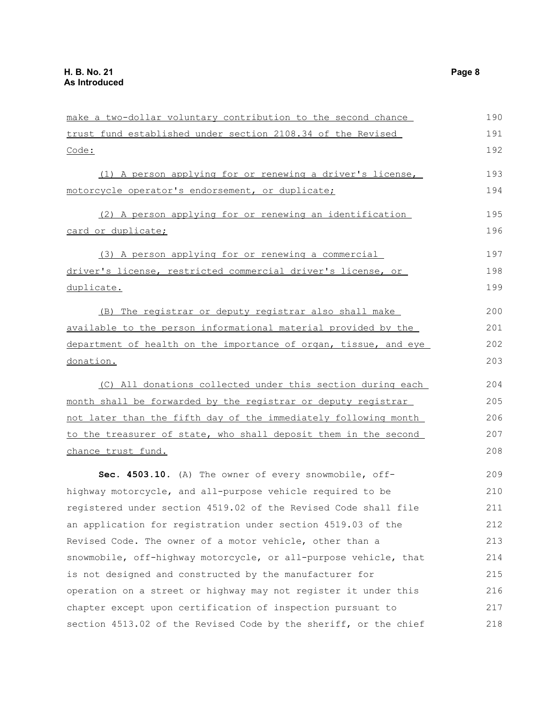| make a two-dollar voluntary contribution to the second chance    | 190 |
|------------------------------------------------------------------|-----|
| trust fund established under section 2108.34 of the Revised      | 191 |
| Code:                                                            | 192 |
| (1) A person applying for or renewing a driver's license,        | 193 |
| motorcycle operator's endorsement, or duplicate;                 | 194 |
| (2) A person applying for or renewing an identification          | 195 |
| card or duplicate;                                               | 196 |
| (3) A person applying for or renewing a commercial               | 197 |
| driver's license, restricted commercial driver's license, or     | 198 |
| duplicate.                                                       | 199 |
| (B) The registrar or deputy registrar also shall make            | 200 |
| available to the person informational material provided by the   | 201 |
| department of health on the importance of organ, tissue, and eye | 202 |
| donation.                                                        | 203 |
| (C) All donations collected under this section during each       | 204 |
| month shall be forwarded by the registrar or deputy registrar    | 205 |
| not later than the fifth day of the immediately following month  | 206 |
| to the treasurer of state, who shall deposit them in the second  | 207 |
| chance trust fund.                                               | 208 |
| Sec. 4503.10. (A) The owner of every snowmobile, off-            | 209 |
| highway motorcycle, and all-purpose vehicle required to be       | 210 |
| registered under section 4519.02 of the Revised Code shall file  | 211 |
| an application for registration under section 4519.03 of the     | 212 |
| Revised Code. The owner of a motor vehicle, other than a         | 213 |
| snowmobile, off-highway motorcycle, or all-purpose vehicle, that | 214 |
| is not designed and constructed by the manufacturer for          | 215 |
| operation on a street or highway may not register it under this  | 216 |
| chapter except upon certification of inspection pursuant to      | 217 |
| section 4513.02 of the Revised Code by the sheriff, or the chief | 218 |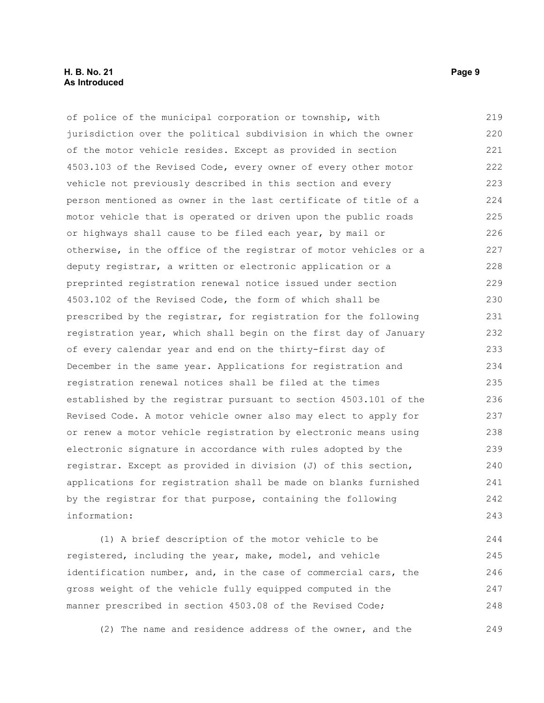#### **H. B. No. 21 Page 9 As Introduced**

of police of the municipal corporation or township, with jurisdiction over the political subdivision in which the owner of the motor vehicle resides. Except as provided in section 4503.103 of the Revised Code, every owner of every other motor vehicle not previously described in this section and every person mentioned as owner in the last certificate of title of a motor vehicle that is operated or driven upon the public roads or highways shall cause to be filed each year, by mail or otherwise, in the office of the registrar of motor vehicles or a deputy registrar, a written or electronic application or a preprinted registration renewal notice issued under section 4503.102 of the Revised Code, the form of which shall be prescribed by the registrar, for registration for the following registration year, which shall begin on the first day of January of every calendar year and end on the thirty-first day of December in the same year. Applications for registration and registration renewal notices shall be filed at the times established by the registrar pursuant to section 4503.101 of the Revised Code. A motor vehicle owner also may elect to apply for or renew a motor vehicle registration by electronic means using electronic signature in accordance with rules adopted by the registrar. Except as provided in division (J) of this section, applications for registration shall be made on blanks furnished by the registrar for that purpose, containing the following information: 219 220 221 222 223 224 225 226 227 228 229 230 231 232 233 234 235 236 237 238 239 240 241 242 243

(1) A brief description of the motor vehicle to be registered, including the year, make, model, and vehicle identification number, and, in the case of commercial cars, the gross weight of the vehicle fully equipped computed in the manner prescribed in section 4503.08 of the Revised Code; 244 245 246 247 248

(2) The name and residence address of the owner, and the 249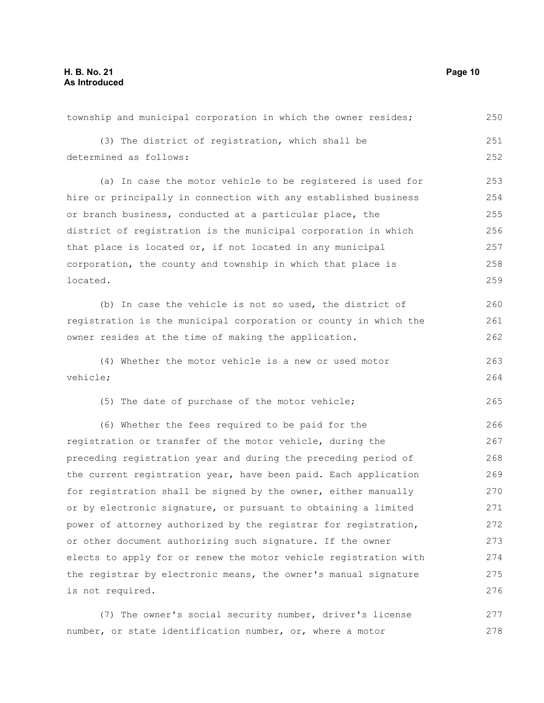township and municipal corporation in which the owner resides; (3) The district of registration, which shall be determined as follows: (a) In case the motor vehicle to be registered is used for hire or principally in connection with any established business or branch business, conducted at a particular place, the district of registration is the municipal corporation in which that place is located or, if not located in any municipal corporation, the county and township in which that place is located. (b) In case the vehicle is not so used, the district of registration is the municipal corporation or county in which the owner resides at the time of making the application. (4) Whether the motor vehicle is a new or used motor vehicle; (5) The date of purchase of the motor vehicle; (6) Whether the fees required to be paid for the registration or transfer of the motor vehicle, during the preceding registration year and during the preceding period of the current registration year, have been paid. Each application for registration shall be signed by the owner, either manually or by electronic signature, or pursuant to obtaining a limited power of attorney authorized by the registrar for registration, or other document authorizing such signature. If the owner elects to apply for or renew the motor vehicle registration with the registrar by electronic means, the owner's manual signature is not required. 250 251 252 253 254 255 256 257 258 259 260 261 262 263 264 265 266 267 268 269 270 271 272 273 274 275 276

(7) The owner's social security number, driver's license number, or state identification number, or, where a motor 277 278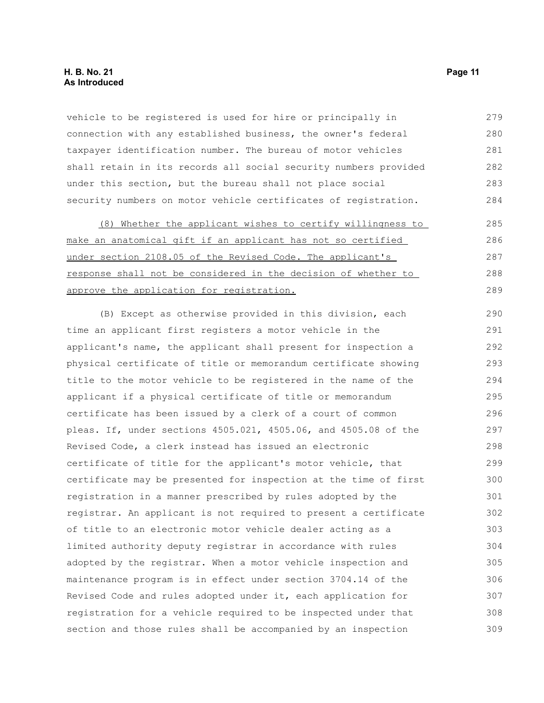vehicle to be registered is used for hire or principally in connection with any established business, the owner's federal taxpayer identification number. The bureau of motor vehicles shall retain in its records all social security numbers provided under this section, but the bureau shall not place social security numbers on motor vehicle certificates of registration. 279 280 281 282 283 284

(8) Whether the applicant wishes to certify willingness to make an anatomical gift if an applicant has not so certified under section 2108.05 of the Revised Code. The applicant's response shall not be considered in the decision of whether to approve the application for registration. 285 286 287 288 289

(B) Except as otherwise provided in this division, each time an applicant first registers a motor vehicle in the applicant's name, the applicant shall present for inspection a physical certificate of title or memorandum certificate showing title to the motor vehicle to be registered in the name of the applicant if a physical certificate of title or memorandum certificate has been issued by a clerk of a court of common pleas. If, under sections 4505.021, 4505.06, and 4505.08 of the Revised Code, a clerk instead has issued an electronic certificate of title for the applicant's motor vehicle, that certificate may be presented for inspection at the time of first registration in a manner prescribed by rules adopted by the registrar. An applicant is not required to present a certificate of title to an electronic motor vehicle dealer acting as a limited authority deputy registrar in accordance with rules adopted by the registrar. When a motor vehicle inspection and maintenance program is in effect under section 3704.14 of the Revised Code and rules adopted under it, each application for registration for a vehicle required to be inspected under that section and those rules shall be accompanied by an inspection 290 291 292 293 294 295 296 297 298 299 300 301 302 303 304 305 306 307 308 309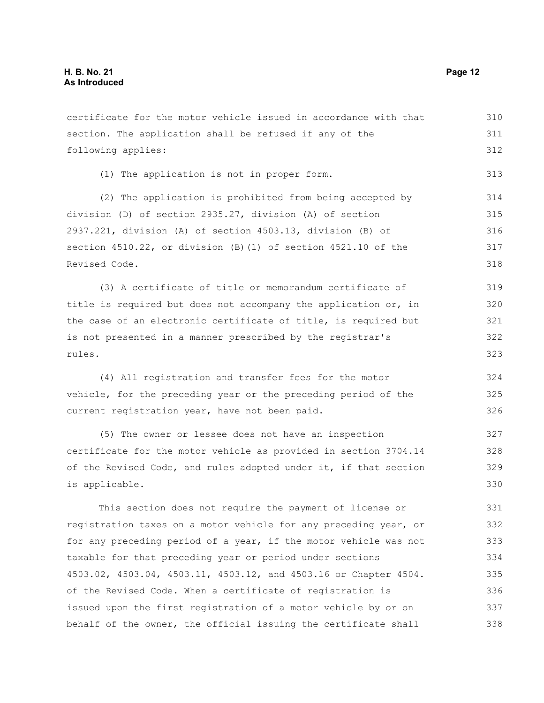certificate for the motor vehicle issued in accordance with that section. The application shall be refused if any of the following applies: (1) The application is not in proper form. (2) The application is prohibited from being accepted by division (D) of section 2935.27, division (A) of section 2937.221, division (A) of section 4503.13, division (B) of section 4510.22, or division (B)(1) of section 4521.10 of the Revised Code. (3) A certificate of title or memorandum certificate of title is required but does not accompany the application or, in the case of an electronic certificate of title, is required but is not presented in a manner prescribed by the registrar's rules. (4) All registration and transfer fees for the motor vehicle, for the preceding year or the preceding period of the current registration year, have not been paid. (5) The owner or lessee does not have an inspection certificate for the motor vehicle as provided in section 3704.14 of the Revised Code, and rules adopted under it, if that section is applicable. This section does not require the payment of license or registration taxes on a motor vehicle for any preceding year, or for any preceding period of a year, if the motor vehicle was not taxable for that preceding year or period under sections 4503.02, 4503.04, 4503.11, 4503.12, and 4503.16 or Chapter 4504. of the Revised Code. When a certificate of registration is issued upon the first registration of a motor vehicle by or on behalf of the owner, the official issuing the certificate shall 310 311 312 313 314 315 316 317 318 319 320 321 322 323 324 325 326 327 328 329 330 331 332 333 334 335 336 337 338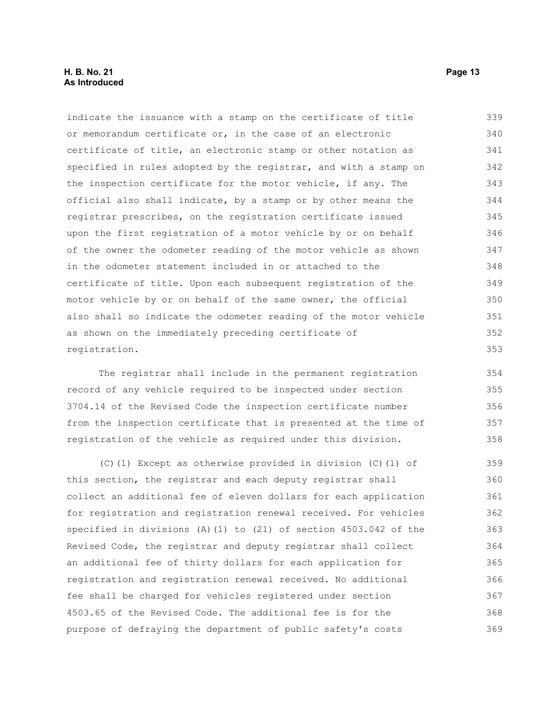#### **H. B. No. 21 Page 13 As Introduced**

indicate the issuance with a stamp on the certificate of title or memorandum certificate or, in the case of an electronic certificate of title, an electronic stamp or other notation as specified in rules adopted by the registrar, and with a stamp on the inspection certificate for the motor vehicle, if any. The official also shall indicate, by a stamp or by other means the registrar prescribes, on the registration certificate issued upon the first registration of a motor vehicle by or on behalf of the owner the odometer reading of the motor vehicle as shown in the odometer statement included in or attached to the certificate of title. Upon each subsequent registration of the motor vehicle by or on behalf of the same owner, the official also shall so indicate the odometer reading of the motor vehicle as shown on the immediately preceding certificate of registration. 339 340 341 342 343 344 345 346 347 348 349 350 351 352 353

The registrar shall include in the permanent registration record of any vehicle required to be inspected under section 3704.14 of the Revised Code the inspection certificate number from the inspection certificate that is presented at the time of registration of the vehicle as required under this division.

(C)(1) Except as otherwise provided in division (C)(1) of this section, the registrar and each deputy registrar shall collect an additional fee of eleven dollars for each application for registration and registration renewal received. For vehicles specified in divisions (A)(1) to (21) of section 4503.042 of the Revised Code, the registrar and deputy registrar shall collect an additional fee of thirty dollars for each application for registration and registration renewal received. No additional fee shall be charged for vehicles registered under section 4503.65 of the Revised Code. The additional fee is for the purpose of defraying the department of public safety's costs 359 360 361 362 363 364 365 366 367 368 369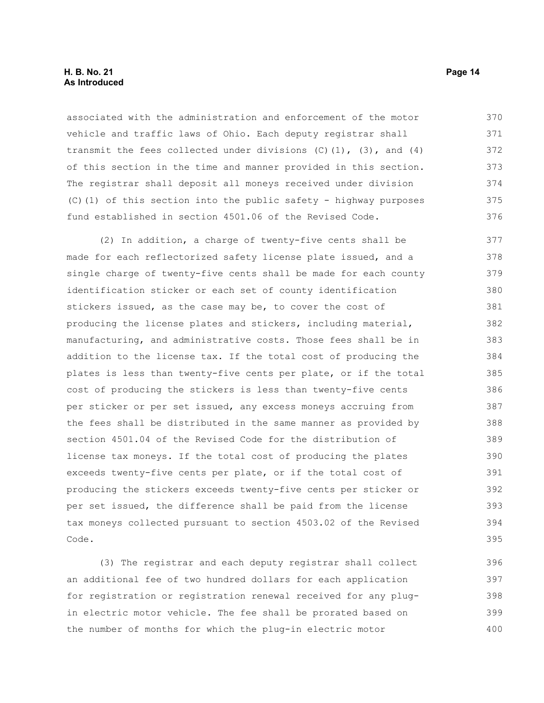#### **H. B. No. 21 Page 14 As Introduced**

associated with the administration and enforcement of the motor vehicle and traffic laws of Ohio. Each deputy registrar shall transmit the fees collected under divisions  $(C)$   $(1)$ ,  $(3)$ , and  $(4)$ of this section in the time and manner provided in this section. The registrar shall deposit all moneys received under division (C)(1) of this section into the public safety - highway purposes fund established in section 4501.06 of the Revised Code. 370 371 372 373 374 375 376

(2) In addition, a charge of twenty-five cents shall be made for each reflectorized safety license plate issued, and a single charge of twenty-five cents shall be made for each county identification sticker or each set of county identification stickers issued, as the case may be, to cover the cost of producing the license plates and stickers, including material, manufacturing, and administrative costs. Those fees shall be in addition to the license tax. If the total cost of producing the plates is less than twenty-five cents per plate, or if the total cost of producing the stickers is less than twenty-five cents per sticker or per set issued, any excess moneys accruing from the fees shall be distributed in the same manner as provided by section 4501.04 of the Revised Code for the distribution of license tax moneys. If the total cost of producing the plates exceeds twenty-five cents per plate, or if the total cost of producing the stickers exceeds twenty-five cents per sticker or per set issued, the difference shall be paid from the license tax moneys collected pursuant to section 4503.02 of the Revised Code. 377 378 379 380 381 382 383 384 385 386 387 388 389 390 391 392 393 394 395

(3) The registrar and each deputy registrar shall collect an additional fee of two hundred dollars for each application for registration or registration renewal received for any plugin electric motor vehicle. The fee shall be prorated based on the number of months for which the plug-in electric motor 396 397 398 399 400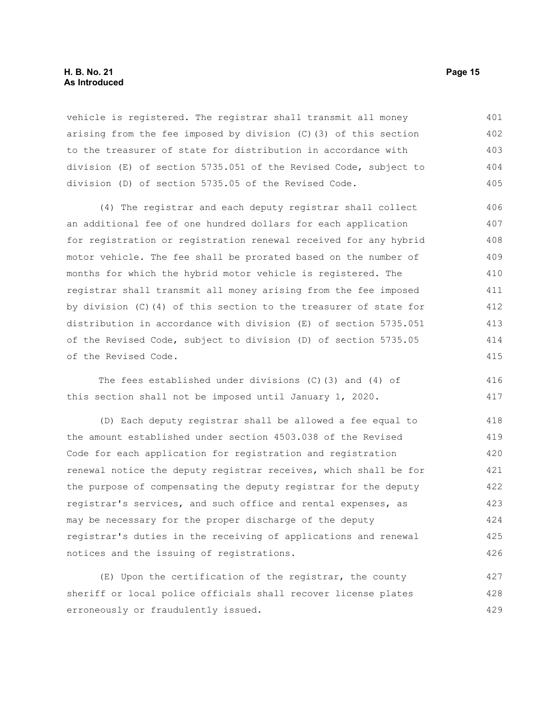#### **H. B. No. 21 Page 15 As Introduced**

vehicle is registered. The registrar shall transmit all money arising from the fee imposed by division (C)(3) of this section to the treasurer of state for distribution in accordance with division (E) of section 5735.051 of the Revised Code, subject to division (D) of section 5735.05 of the Revised Code. 401 402 403 404 405

(4) The registrar and each deputy registrar shall collect an additional fee of one hundred dollars for each application for registration or registration renewal received for any hybrid motor vehicle. The fee shall be prorated based on the number of months for which the hybrid motor vehicle is registered. The registrar shall transmit all money arising from the fee imposed by division (C)(4) of this section to the treasurer of state for distribution in accordance with division (E) of section 5735.051 of the Revised Code, subject to division (D) of section 5735.05 of the Revised Code. 406 407 408 409 410 411 412 413 414 415

The fees established under divisions (C)(3) and (4) of this section shall not be imposed until January 1, 2020. 416 417

(D) Each deputy registrar shall be allowed a fee equal to the amount established under section 4503.038 of the Revised Code for each application for registration and registration renewal notice the deputy registrar receives, which shall be for the purpose of compensating the deputy registrar for the deputy registrar's services, and such office and rental expenses, as may be necessary for the proper discharge of the deputy registrar's duties in the receiving of applications and renewal notices and the issuing of registrations. 418 419 420 421 422 423 424 425 426

(E) Upon the certification of the registrar, the county sheriff or local police officials shall recover license plates erroneously or fraudulently issued. 427 428 429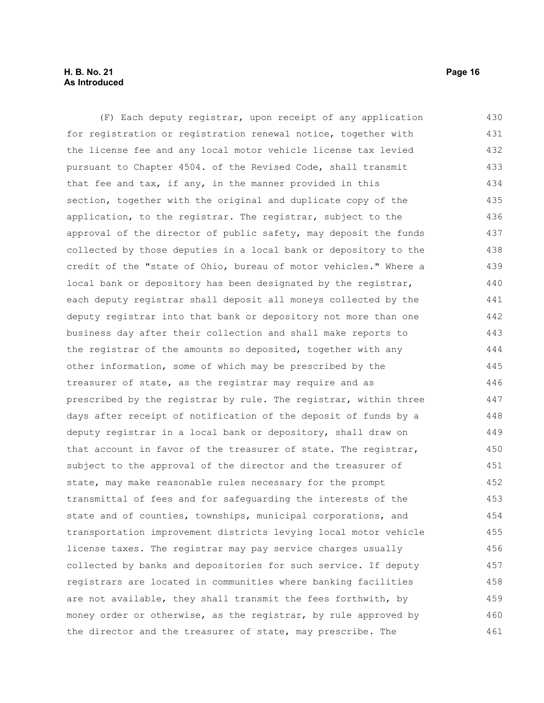#### **H. B. No. 21 Page 16 As Introduced**

(F) Each deputy registrar, upon receipt of any application for registration or registration renewal notice, together with the license fee and any local motor vehicle license tax levied pursuant to Chapter 4504. of the Revised Code, shall transmit that fee and tax, if any, in the manner provided in this section, together with the original and duplicate copy of the application, to the registrar. The registrar, subject to the approval of the director of public safety, may deposit the funds collected by those deputies in a local bank or depository to the credit of the "state of Ohio, bureau of motor vehicles." Where a local bank or depository has been designated by the registrar, each deputy registrar shall deposit all moneys collected by the deputy registrar into that bank or depository not more than one business day after their collection and shall make reports to the registrar of the amounts so deposited, together with any other information, some of which may be prescribed by the treasurer of state, as the registrar may require and as prescribed by the registrar by rule. The registrar, within three days after receipt of notification of the deposit of funds by a deputy registrar in a local bank or depository, shall draw on that account in favor of the treasurer of state. The registrar, subject to the approval of the director and the treasurer of state, may make reasonable rules necessary for the prompt transmittal of fees and for safeguarding the interests of the state and of counties, townships, municipal corporations, and transportation improvement districts levying local motor vehicle license taxes. The registrar may pay service charges usually collected by banks and depositories for such service. If deputy registrars are located in communities where banking facilities are not available, they shall transmit the fees forthwith, by money order or otherwise, as the registrar, by rule approved by the director and the treasurer of state, may prescribe. The 430 431 432 433 434 435 436 437 438 439 440 441 442 443 444 445 446 447 448 449 450 451 452 453 454 455 456 457 458 459 460 461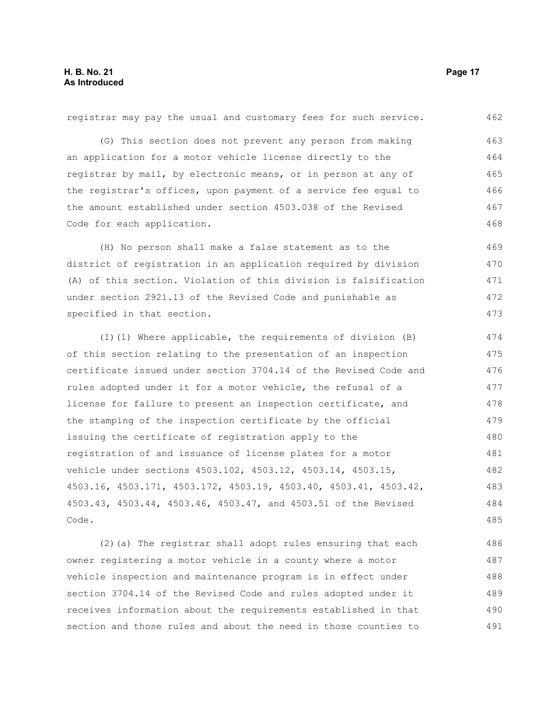| registrar may pay the usual and customary fees for such service. | 462 |  |  |
|------------------------------------------------------------------|-----|--|--|
| (G) This section does not prevent any person from making         | 463 |  |  |
| an application for a motor vehicle license directly to the       |     |  |  |
| registrar by mail, by electronic means, or in person at any of   | 465 |  |  |
| the registrar's offices, upon payment of a service fee equal to  | 466 |  |  |
| the amount established under section 4503.038 of the Revised     | 467 |  |  |
| Code for each application.                                       | 468 |  |  |
| (H) No person shall make a false statement as to the             | 469 |  |  |
| district of registration in an application required by division  | 470 |  |  |
| (A) of this section. Violation of this division is falsification | 471 |  |  |
| under section 2921.13 of the Revised Code and punishable as      | 472 |  |  |
| specified in that section.                                       | 473 |  |  |
| (I)(1) Where applicable, the requirements of division (B)        | 474 |  |  |
| of this section relating to the presentation of an inspection    | 475 |  |  |
| certificate issued under section 3704.14 of the Revised Code and | 476 |  |  |
| rules adopted under it for a motor vehicle, the refusal of a     | 477 |  |  |
| license for failure to present an inspection certificate, and    | 478 |  |  |
| the stamping of the inspection certificate by the official       | 479 |  |  |
| issuing the certificate of registration apply to the             | 480 |  |  |
| registration of and issuance of license plates for a motor       | 481 |  |  |
| vehicle under sections 4503.102, 4503.12, 4503.14, 4503.15,      | 482 |  |  |

4503.16, 4503.171, 4503.172, 4503.19, 4503.40, 4503.41, 4503.42, 4503.43, 4503.44, 4503.46, 4503.47, and 4503.51 of the Revised Code. 483 484 485

(2)(a) The registrar shall adopt rules ensuring that each owner registering a motor vehicle in a county where a motor vehicle inspection and maintenance program is in effect under section 3704.14 of the Revised Code and rules adopted under it receives information about the requirements established in that section and those rules and about the need in those counties to 486 487 488 489 490 491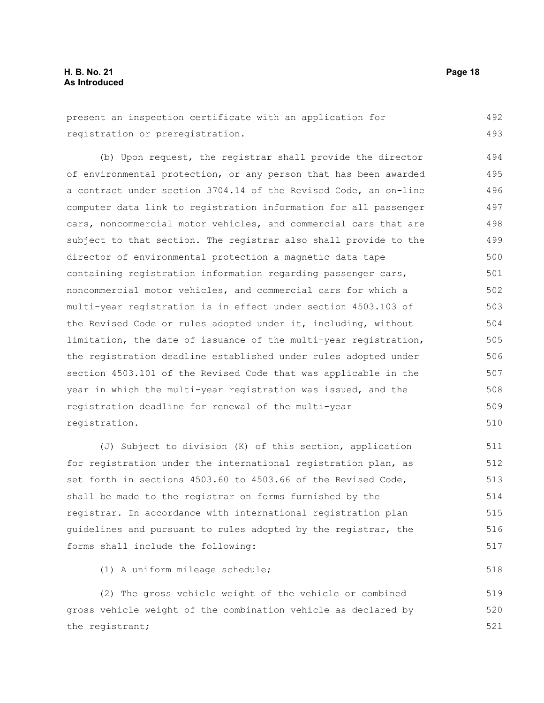present an inspection certificate with an application for registration or preregistration. 492 493

(b) Upon request, the registrar shall provide the director of environmental protection, or any person that has been awarded a contract under section 3704.14 of the Revised Code, an on-line computer data link to registration information for all passenger cars, noncommercial motor vehicles, and commercial cars that are subject to that section. The registrar also shall provide to the director of environmental protection a magnetic data tape containing registration information regarding passenger cars, noncommercial motor vehicles, and commercial cars for which a multi-year registration is in effect under section 4503.103 of the Revised Code or rules adopted under it, including, without limitation, the date of issuance of the multi-year registration, the registration deadline established under rules adopted under section 4503.101 of the Revised Code that was applicable in the year in which the multi-year registration was issued, and the registration deadline for renewal of the multi-year registration. 494 495 496 497 498 499 500 501 502 503 504 505 506 507 508 509 510

(J) Subject to division (K) of this section, application for registration under the international registration plan, as set forth in sections 4503.60 to 4503.66 of the Revised Code, shall be made to the registrar on forms furnished by the registrar. In accordance with international registration plan guidelines and pursuant to rules adopted by the registrar, the forms shall include the following: 511 512 513 514 515 516 517

(1) A uniform mileage schedule;

(2) The gross vehicle weight of the vehicle or combined gross vehicle weight of the combination vehicle as declared by the registrant; 519 520 521

518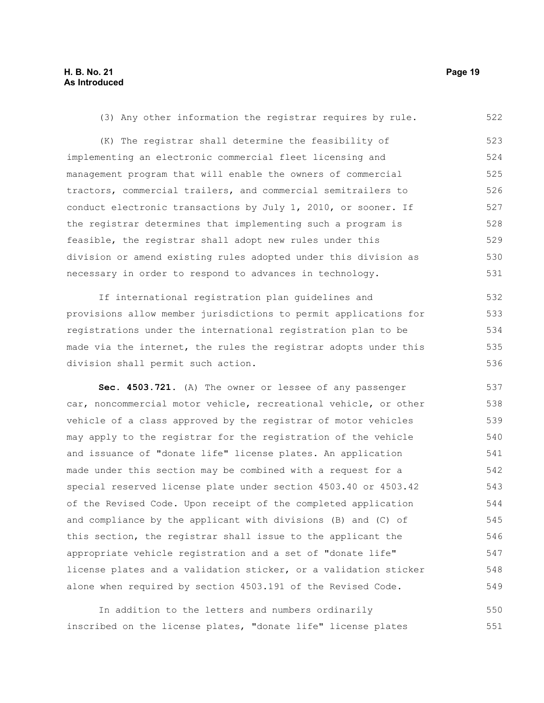(3) Any other information the registrar requires by rule. (K) The registrar shall determine the feasibility of implementing an electronic commercial fleet licensing and management program that will enable the owners of commercial tractors, commercial trailers, and commercial semitrailers to conduct electronic transactions by July 1, 2010, or sooner. If the registrar determines that implementing such a program is feasible, the registrar shall adopt new rules under this division or amend existing rules adopted under this division as necessary in order to respond to advances in technology. If international registration plan guidelines and provisions allow member jurisdictions to permit applications for registrations under the international registration plan to be made via the internet, the rules the registrar adopts under this division shall permit such action. **Sec. 4503.721.** (A) The owner or lessee of any passenger car, noncommercial motor vehicle, recreational vehicle, or other vehicle of a class approved by the registrar of motor vehicles may apply to the registrar for the registration of the vehicle and issuance of "donate life" license plates. An application made under this section may be combined with a request for a special reserved license plate under section 4503.40 or 4503.42 of the Revised Code. Upon receipt of the completed application and compliance by the applicant with divisions (B) and (C) of this section, the registrar shall issue to the applicant the appropriate vehicle registration and a set of "donate life" 522 523 524 525 526 527 528 529 530 531 532 533 534 535 536 537 538 539 540 541 542 543 544 545 546 547

In addition to the letters and numbers ordinarily inscribed on the license plates, "donate life" license plates 550 551

license plates and a validation sticker, or a validation sticker

alone when required by section 4503.191 of the Revised Code.

548 549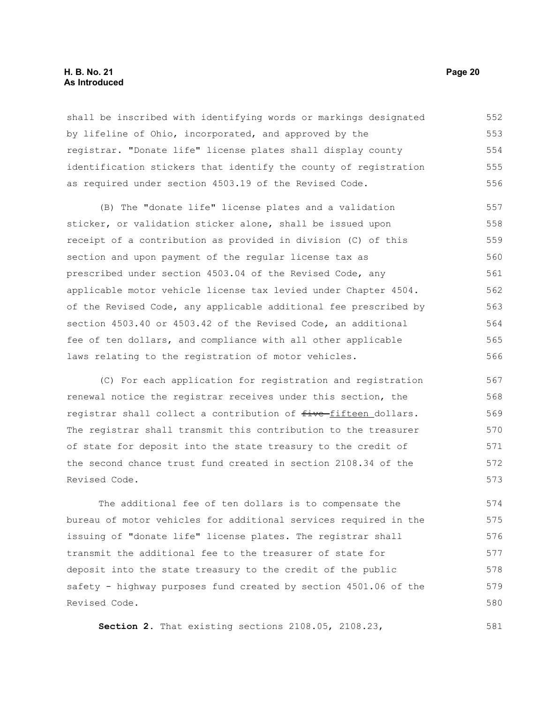#### **H. B. No. 21 Page 20 As Introduced**

shall be inscribed with identifying words or markings designated by lifeline of Ohio, incorporated, and approved by the registrar. "Donate life" license plates shall display county identification stickers that identify the county of registration as required under section 4503.19 of the Revised Code. 552 553 554 555 556

(B) The "donate life" license plates and a validation sticker, or validation sticker alone, shall be issued upon receipt of a contribution as provided in division (C) of this section and upon payment of the regular license tax as prescribed under section 4503.04 of the Revised Code, any applicable motor vehicle license tax levied under Chapter 4504. of the Revised Code, any applicable additional fee prescribed by section 4503.40 or 4503.42 of the Revised Code, an additional fee of ten dollars, and compliance with all other applicable laws relating to the registration of motor vehicles. 557 558 559 560 561 562 563 564 565 566

(C) For each application for registration and registration renewal notice the registrar receives under this section, the registrar shall collect a contribution of  $f$ ive fifteen dollars. The registrar shall transmit this contribution to the treasurer of state for deposit into the state treasury to the credit of the second chance trust fund created in section 2108.34 of the Revised Code. 567 568 569 570 571 572 573

The additional fee of ten dollars is to compensate the bureau of motor vehicles for additional services required in the issuing of "donate life" license plates. The registrar shall transmit the additional fee to the treasurer of state for deposit into the state treasury to the credit of the public safety - highway purposes fund created by section 4501.06 of the Revised Code. 574 575 576 577 578 579 580

**Section 2.** That existing sections 2108.05, 2108.23, 581